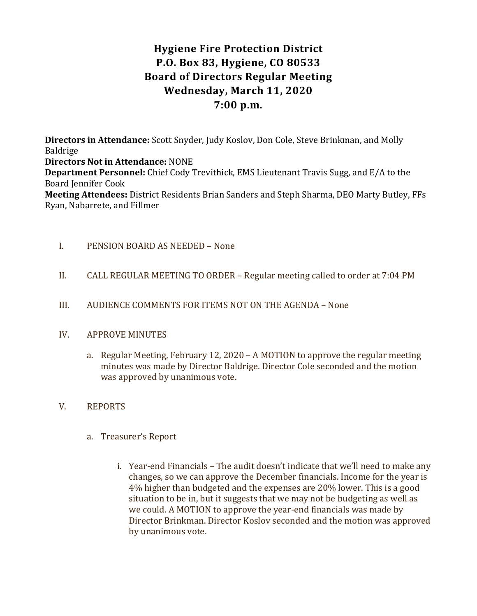# Hygiene Fire Protection District P.O. Box 83, Hygiene, CO 80533 Board of Directors Regular Meeting Wednesday, March 11, 2020 7:00 p.m.

Directors in Attendance: Scott Snyder, Judy Koslov, Don Cole, Steve Brinkman, and Molly Baldrige Directors Not in Attendance: NONE Department Personnel: Chief Cody Trevithick, EMS Lieutenant Travis Sugg, and E/A to the Board Jennifer Cook Meeting Attendees: District Residents Brian Sanders and Steph Sharma, DEO Marty Butley, FFs Ryan, Nabarrete, and Fillmer

## I. PENSION BOARD AS NEEDED – None

- II. CALL REGULAR MEETING TO ORDER Regular meeting called to order at 7:04 PM
- III. AUDIENCE COMMENTS FOR ITEMS NOT ON THE AGENDA None

## IV. APPROVE MINUTES

a. Regular Meeting, February 12, 2020 – A MOTION to approve the regular meeting minutes was made by Director Baldrige. Director Cole seconded and the motion was approved by unanimous vote.

## V. REPORTS

- a. Treasurer's Report
	- i. Year-end Financials The audit doesn't indicate that we'll need to make any changes, so we can approve the December financials. Income for the year is 4% higher than budgeted and the expenses are 20% lower. This is a good situation to be in, but it suggests that we may not be budgeting as well as we could. A MOTION to approve the year-end financials was made by Director Brinkman. Director Koslov seconded and the motion was approved by unanimous vote.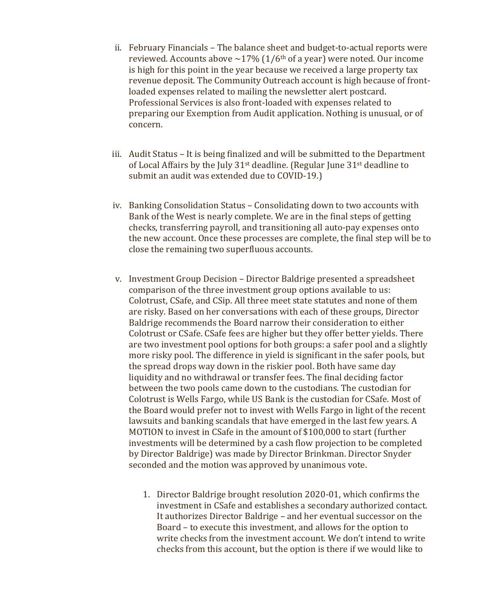- ii. February Financials The balance sheet and budget-to-actual reports were reviewed. Accounts above  $\sim$ 17% (1/6<sup>th</sup> of a year) were noted. Our income is high for this point in the year because we received a large property tax revenue deposit. The Community Outreach account is high because of frontloaded expenses related to mailing the newsletter alert postcard. Professional Services is also front-loaded with expenses related to preparing our Exemption from Audit application. Nothing is unusual, or of concern.
- iii. Audit Status It is being finalized and will be submitted to the Department of Local Affairs by the July 31<sup>st</sup> deadline. (Regular June 31<sup>st</sup> deadline to submit an audit was extended due to COVID-19.)
- iv. Banking Consolidation Status Consolidating down to two accounts with Bank of the West is nearly complete. We are in the final steps of getting checks, transferring payroll, and transitioning all auto-pay expenses onto the new account. Once these processes are complete, the final step will be to close the remaining two superfluous accounts.
- v. Investment Group Decision Director Baldrige presented a spreadsheet comparison of the three investment group options available to us: Colotrust, CSafe, and CSip. All three meet state statutes and none of them are risky. Based on her conversations with each of these groups, Director Baldrige recommends the Board narrow their consideration to either Colotrust or CSafe. CSafe fees are higher but they offer better yields. There are two investment pool options for both groups: a safer pool and a slightly more risky pool. The difference in yield is significant in the safer pools, but the spread drops way down in the riskier pool. Both have same day liquidity and no withdrawal or transfer fees. The final deciding factor between the two pools came down to the custodians. The custodian for Colotrust is Wells Fargo, while US Bank is the custodian for CSafe. Most of the Board would prefer not to invest with Wells Fargo in light of the recent lawsuits and banking scandals that have emerged in the last few years. A MOTION to invest in CSafe in the amount of \$100,000 to start (further investments will be determined by a cash flow projection to be completed by Director Baldrige) was made by Director Brinkman. Director Snyder seconded and the motion was approved by unanimous vote.
	- 1. Director Baldrige brought resolution 2020-01, which confirms the investment in CSafe and establishes a secondary authorized contact. It authorizes Director Baldrige – and her eventual successor on the Board – to execute this investment, and allows for the option to write checks from the investment account. We don't intend to write checks from this account, but the option is there if we would like to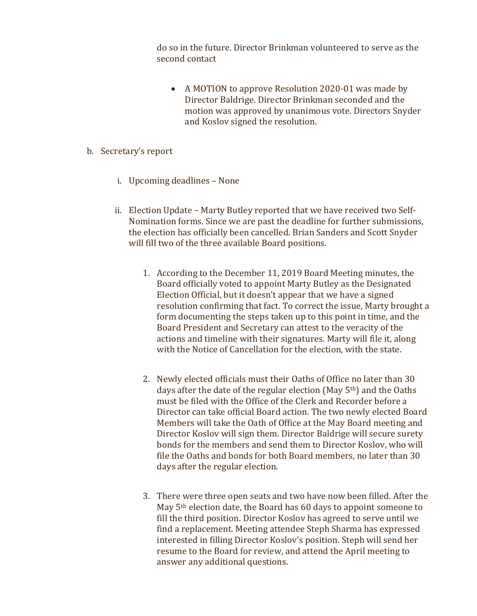do so in the future. Director Brinkman volunteered to serve as the second contact

- A MOTION to approve Resolution 2020-01 was made by Director Baldrige. Director Brinkman seconded and the motion was approved by unanimous vote. Directors Snyder and Koslov signed the resolution.
- b. Secretary's report
	- i. Upcoming deadlines None
	- ii. Election Update Marty Butley reported that we have received two Self-Nomination forms. Since we are past the deadline for further submissions, the election has officially been cancelled. Brian Sanders and Scott Snyder will fill two of the three available Board positions.
		- 1. According to the December 11, 2019 Board Meeting minutes, the Board officially voted to appoint Marty Butley as the Designated Election Official, but it doesn't appear that we have a signed resolution confirming that fact. To correct the issue, Marty brought a form documenting the steps taken up to this point in time, and the Board President and Secretary can attest to the veracity of the actions and timeline with their signatures. Marty will file it, along with the Notice of Cancellation for the election, with the state.
		- 2. Newly elected officials must their Oaths of Office no later than 30 days after the date of the regular election (May  $5<sup>th</sup>$ ) and the Oaths must be filed with the Office of the Clerk and Recorder before a Director can take official Board action. The two newly elected Board Members will take the Oath of Office at the May Board meeting and Director Koslov will sign them. Director Baldrige will secure surety bonds for the members and send them to Director Koslov, who will file the Oaths and bonds for both Board members, no later than 30 days after the regular election.
		- 3. There were three open seats and two have now been filled. After the May 5th election date, the Board has 60 days to appoint someone to fill the third position. Director Koslov has agreed to serve until we find a replacement. Meeting attendee Steph Sharma has expressed interested in filling Director Koslov's position. Steph will send her resume to the Board for review, and attend the April meeting to answer any additional questions.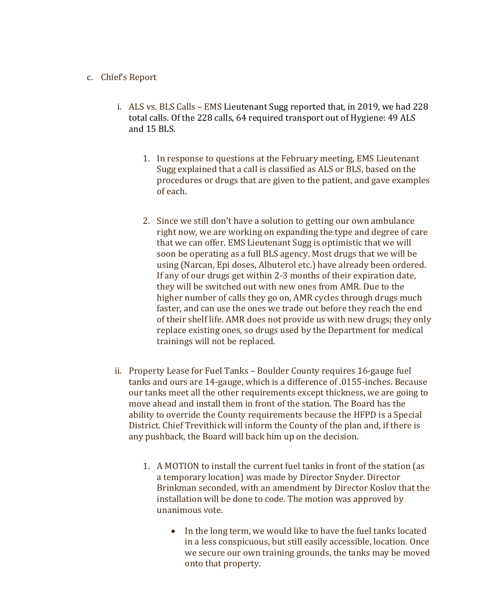### c. Chief's Report

- i. ALS vs. BLS Calls EMS Lieutenant Sugg reported that, in 2019, we had 228 total calls. Of the 228 calls, 64 required transport out of Hygiene: 49 ALS and 15 BLS.
	- 1. In response to questions at the February meeting, EMS Lieutenant Sugg explained that a call is classified as ALS or BLS, based on the procedures or drugs that are given to the patient, and gave examples of each.
	- 2. Since we still don't have a solution to getting our own ambulance right now, we are working on expanding the type and degree of care that we can offer. EMS Lieutenant Sugg is optimistic that we will soon be operating as a full BLS agency. Most drugs that we will be using (Narcan, Epi doses, Albuterol etc.) have already been ordered. If any of our drugs get within 2-3 months of their expiration date, they will be switched out with new ones from AMR. Due to the higher number of calls they go on, AMR cycles through drugs much faster, and can use the ones we trade out before they reach the end of their shelf life. AMR does not provide us with new drugs; they only replace existing ones, so drugs used by the Department for medical trainings will not be replaced.
- ii. Property Lease for Fuel Tanks Boulder County requires 16-gauge fuel tanks and ours are 14-gauge, which is a difference of .0155-inches. Because our tanks meet all the other requirements except thickness, we are going to move ahead and install them in front of the station. The Board has the ability to override the County requirements because the HFPD is a Special District. Chief Trevithick will inform the County of the plan and, if there is any pushback, the Board will back him up on the decision.
	- 1. A MOTION to install the current fuel tanks in front of the station (as a temporary location) was made by Director Snyder. Director Brinkman seconded, with an amendment by Director Koslov that the installation will be done to code. The motion was approved by unanimous vote.
		- In the long term, we would like to have the fuel tanks located in a less conspicuous, but still easily accessible, location. Once we secure our own training grounds, the tanks may be moved onto that property.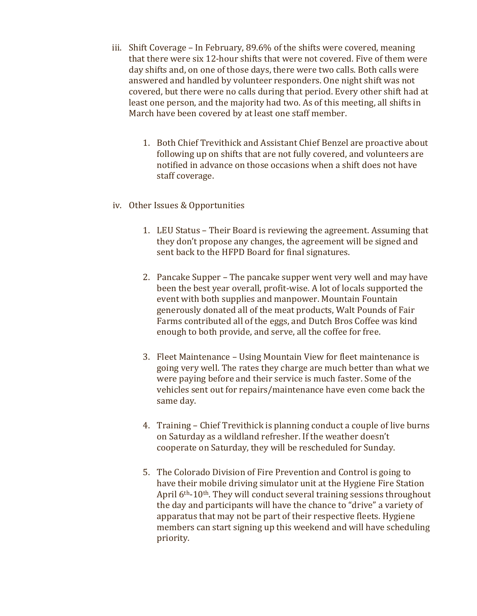- iii. Shift Coverage In February, 89.6% of the shifts were covered, meaning that there were six 12-hour shifts that were not covered. Five of them were day shifts and, on one of those days, there were two calls. Both calls were answered and handled by volunteer responders. One night shift was not covered, but there were no calls during that period. Every other shift had at least one person, and the majority had two. As of this meeting, all shifts in March have been covered by at least one staff member.
	- 1. Both Chief Trevithick and Assistant Chief Benzel are proactive about following up on shifts that are not fully covered, and volunteers are notified in advance on those occasions when a shift does not have staff coverage.
- iv. Other Issues & Opportunities
	- 1. LEU Status Their Board is reviewing the agreement. Assuming that they don't propose any changes, the agreement will be signed and sent back to the HFPD Board for final signatures.
	- 2. Pancake Supper The pancake supper went very well and may have been the best year overall, profit-wise. A lot of locals supported the event with both supplies and manpower. Mountain Fountain generously donated all of the meat products, Walt Pounds of Fair Farms contributed all of the eggs, and Dutch Bros Coffee was kind enough to both provide, and serve, all the coffee for free.
	- 3. Fleet Maintenance Using Mountain View for fleet maintenance is going very well. The rates they charge are much better than what we were paying before and their service is much faster. Some of the vehicles sent out for repairs/maintenance have even come back the same day.
	- 4. Training Chief Trevithick is planning conduct a couple of live burns on Saturday as a wildland refresher. If the weather doesn't cooperate on Saturday, they will be rescheduled for Sunday.
	- 5. The Colorado Division of Fire Prevention and Control is going to have their mobile driving simulator unit at the Hygiene Fire Station April 6<sup>th</sup>-10<sup>th</sup>. They will conduct several training sessions throughout the day and participants will have the chance to "drive" a variety of apparatus that may not be part of their respective fleets. Hygiene members can start signing up this weekend and will have scheduling priority.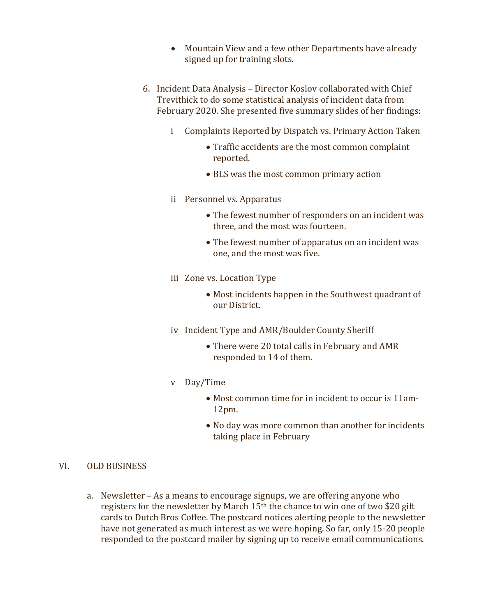- Mountain View and a few other Departments have already signed up for training slots.
- 6. Incident Data Analysis Director Koslov collaborated with Chief Trevithick to do some statistical analysis of incident data from February 2020. She presented five summary slides of her findings:
	- i Complaints Reported by Dispatch vs. Primary Action Taken
		- Traffic accidents are the most common complaint reported.
		- BLS was the most common primary action
	- ii Personnel vs. Apparatus
		- The fewest number of responders on an incident was three, and the most was fourteen.
		- The fewest number of apparatus on an incident was one, and the most was five.
	- iii Zone vs. Location Type
		- Most incidents happen in the Southwest quadrant of our District.
	- iv Incident Type and AMR/Boulder County Sheriff
		- There were 20 total calls in February and AMR responded to 14 of them.
	- v Day/Time
		- Most common time for in incident to occur is 11am-12pm.
		- No day was more common than another for incidents taking place in February

## VI. OLD BUSINESS

a. Newsletter – As a means to encourage signups, we are offering anyone who registers for the newsletter by March 15<sup>th</sup> the chance to win one of two \$20 gift cards to Dutch Bros Coffee. The postcard notices alerting people to the newsletter have not generated as much interest as we were hoping. So far, only 15-20 people responded to the postcard mailer by signing up to receive email communications.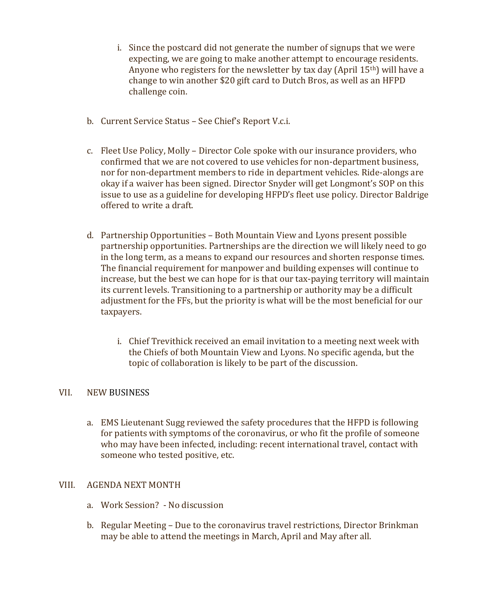- i. Since the postcard did not generate the number of signups that we were expecting, we are going to make another attempt to encourage residents. Anyone who registers for the newsletter by tax day (April 15th) will have a change to win another \$20 gift card to Dutch Bros, as well as an HFPD challenge coin.
- b. Current Service Status See Chief's Report V.c.i.
- c. Fleet Use Policy, Molly Director Cole spoke with our insurance providers, who confirmed that we are not covered to use vehicles for non-department business, nor for non-department members to ride in department vehicles. Ride-alongs are okay if a waiver has been signed. Director Snyder will get Longmont's SOP on this issue to use as a guideline for developing HFPD's fleet use policy. Director Baldrige offered to write a draft.
- d. Partnership Opportunities Both Mountain View and Lyons present possible partnership opportunities. Partnerships are the direction we will likely need to go in the long term, as a means to expand our resources and shorten response times. The financial requirement for manpower and building expenses will continue to increase, but the best we can hope for is that our tax-paying territory will maintain its current levels. Transitioning to a partnership or authority may be a difficult adjustment for the FFs, but the priority is what will be the most beneficial for our taxpayers.
	- i. Chief Trevithick received an email invitation to a meeting next week with the Chiefs of both Mountain View and Lyons. No specific agenda, but the topic of collaboration is likely to be part of the discussion.

## VII. NEW BUSINESS

a. EMS Lieutenant Sugg reviewed the safety procedures that the HFPD is following for patients with symptoms of the coronavirus, or who fit the profile of someone who may have been infected, including: recent international travel, contact with someone who tested positive, etc.

## VIII. AGENDA NEXT MONTH

- a. Work Session? No discussion
- b. Regular Meeting Due to the coronavirus travel restrictions, Director Brinkman may be able to attend the meetings in March, April and May after all.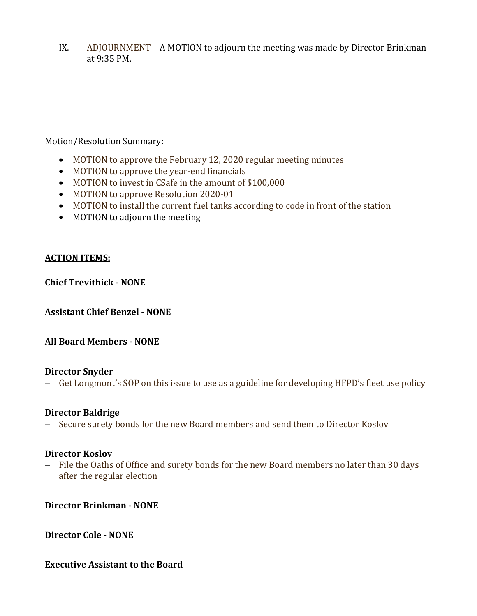IX. ADJOURNMENT – A MOTION to adjourn the meeting was made by Director Brinkman at 9:35 PM.

## Motion/Resolution Summary:

- MOTION to approve the February 12, 2020 regular meeting minutes
- MOTION to approve the year-end financials
- MOTION to invest in CSafe in the amount of \$100,000
- MOTION to approve Resolution 2020-01
- MOTION to install the current fuel tanks according to code in front of the station
- MOTION to adjourn the meeting

## ACTION ITEMS:

Chief Trevithick - NONE

Assistant Chief Benzel - NONE

## All Board Members - NONE

## Director Snyder

- Get Longmont's SOP on this issue to use as a guideline for developing HFPD's fleet use policy

## Director Baldrige

- Secure surety bonds for the new Board members and send them to Director Koslov

## Director Koslov

- File the Oaths of Office and surety bonds for the new Board members no later than 30 days after the regular election

Director Brinkman - NONE

Director Cole - NONE

## Executive Assistant to the Board